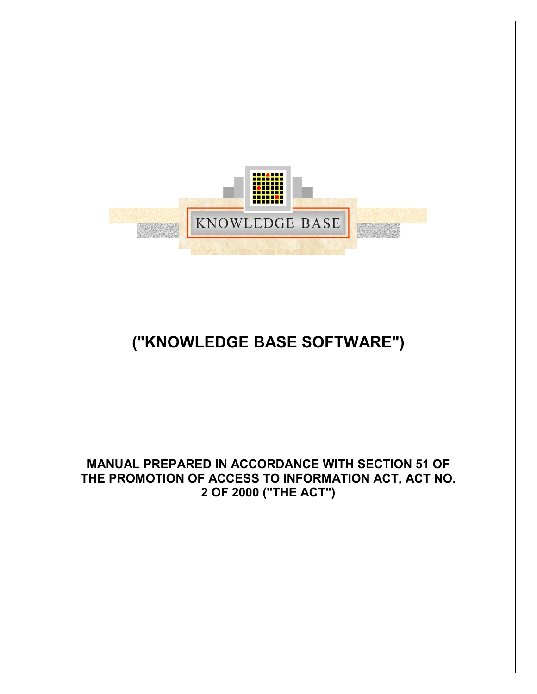

# ("KNOWLEDGE BASE SOFTWARE")

#### MANUAL PREPARED IN ACCORDANCE WITH SECTION 51 OF THE PROMOTION OF ACCESS TO INFORMATION ACT, ACT NO. 2 OF 2000 ("THE ACT")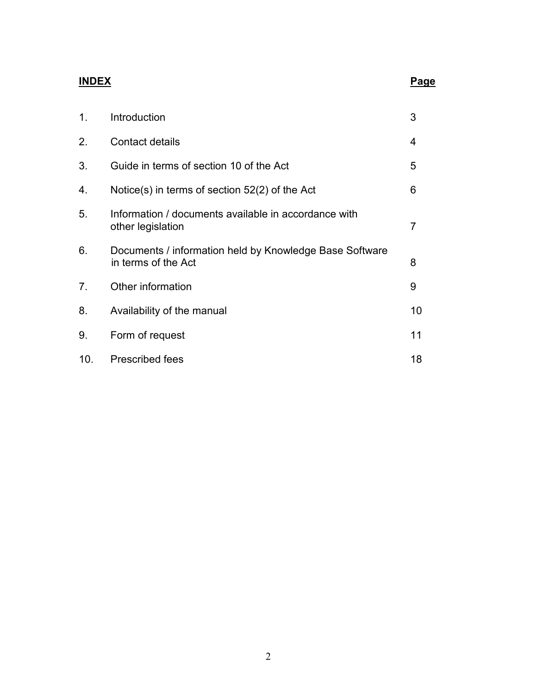# INDEX Page

| 1.              | Introduction                                                                   | 3              |
|-----------------|--------------------------------------------------------------------------------|----------------|
| 2.              | Contact details                                                                | 4              |
| 3.              | Guide in terms of section 10 of the Act                                        | 5              |
| 4.              | Notice(s) in terms of section $52(2)$ of the Act                               | 6              |
| 5.              | Information / documents available in accordance with<br>other legislation      | $\overline{7}$ |
| 6.              | Documents / information held by Knowledge Base Software<br>in terms of the Act | 8              |
| 7.              | Other information                                                              | 9              |
| 8.              | Availability of the manual                                                     | 10             |
| 9.              | Form of request                                                                | 11             |
| 10 <sub>1</sub> | Prescribed fees                                                                | 18             |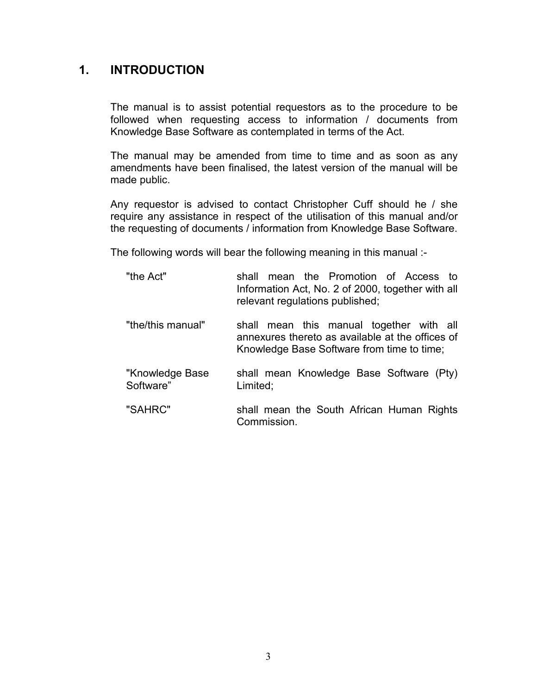#### 1. INTRODUCTION

The manual is to assist potential requestors as to the procedure to be followed when requesting access to information / documents from Knowledge Base Software as contemplated in terms of the Act.

The manual may be amended from time to time and as soon as any amendments have been finalised, the latest version of the manual will be made public.

Any requestor is advised to contact Christopher Cuff should he / she require any assistance in respect of the utilisation of this manual and/or the requesting of documents / information from Knowledge Base Software.

The following words will bear the following meaning in this manual :-

| "the Act"                    | mean the Promotion of Access to<br>shall<br>Information Act, No. 2 of 2000, together with all<br>relevant regulations published;           |
|------------------------------|--------------------------------------------------------------------------------------------------------------------------------------------|
| "the/this manual"            | shall mean this manual together with all<br>annexures thereto as available at the offices of<br>Knowledge Base Software from time to time; |
| "Knowledge Base<br>Software" | shall mean Knowledge Base Software (Pty)<br>Limited;                                                                                       |
| "SAHRC"                      | shall mean the South African Human Rights<br>Commission.                                                                                   |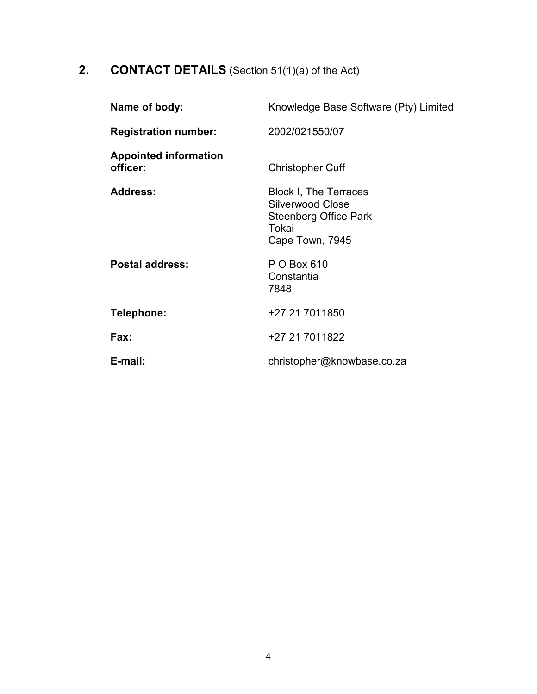# 2. **CONTACT DETAILS** (Section 51(1)(a) of the Act)

| Name of body:                            | Knowledge Base Software (Pty) Limited                                                                        |
|------------------------------------------|--------------------------------------------------------------------------------------------------------------|
| <b>Registration number:</b>              | 2002/021550/07                                                                                               |
| <b>Appointed information</b><br>officer: | <b>Christopher Cuff</b>                                                                                      |
| <b>Address:</b>                          | <b>Block I, The Terraces</b><br>Silverwood Close<br><b>Steenberg Office Park</b><br>Tokai<br>Cape Town, 7945 |
| <b>Postal address:</b>                   | P O Box 610<br>Constantia<br>7848                                                                            |
| Telephone:                               | +27 21 7011850                                                                                               |
| Fax:                                     | +27 21 7011822                                                                                               |
| E-mail:                                  | christopher@knowbase.co.za                                                                                   |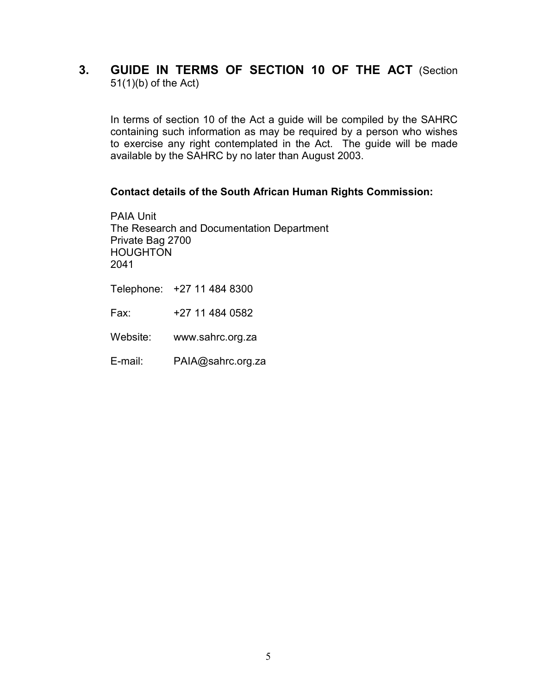#### 3. GUIDE IN TERMS OF SECTION 10 OF THE ACT (Section 51(1)(b) of the Act)

In terms of section 10 of the Act a guide will be compiled by the SAHRC containing such information as may be required by a person who wishes to exercise any right contemplated in the Act. The guide will be made available by the SAHRC by no later than August 2003.

#### Contact details of the South African Human Rights Commission:

PAIA Unit The Research and Documentation Department Private Bag 2700 HOUGHTON 2041

Telephone: +27 11 484 8300

Fax: +27 11 484 0582

Website: www.sahrc.org.za

E-mail: PAIA@sahrc.org.za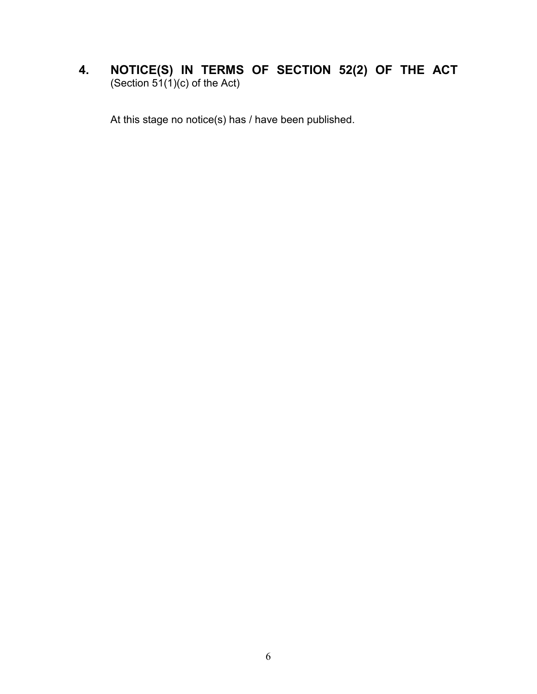#### 4. NOTICE(S) IN TERMS OF SECTION 52(2) OF THE ACT (Section 51(1)(c) of the Act)

At this stage no notice(s) has / have been published.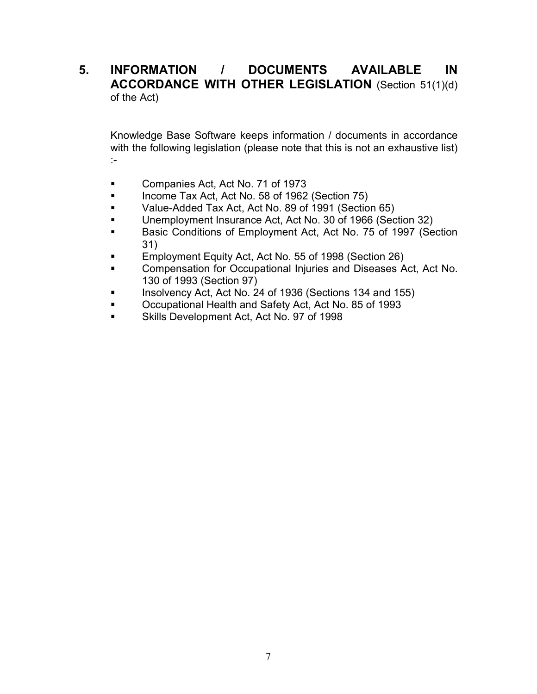#### 5. INFORMATION / DOCUMENTS AVAILABLE IN ACCORDANCE WITH OTHER LEGISLATION (Section 51(1)(d) of the Act)

Knowledge Base Software keeps information / documents in accordance with the following legislation (please note that this is not an exhaustive list) :-

- **Companies Act, Act No. 71 of 1973**
- Income Tax Act, Act No. 58 of 1962 (Section 75)
- Value-Added Tax Act, Act No. 89 of 1991 (Section 65)
- Unemployment Insurance Act, Act No. 30 of 1966 (Section 32)
- Basic Conditions of Employment Act, Act No. 75 of 1997 (Section 31)
- Employment Equity Act, Act No. 55 of 1998 (Section 26)
- Compensation for Occupational Injuries and Diseases Act, Act No. 130 of 1993 (Section 97)
- Insolvency Act, Act No. 24 of 1936 (Sections 134 and 155)
- Occupational Health and Safety Act, Act No. 85 of 1993
- Skills Development Act, Act No. 97 of 1998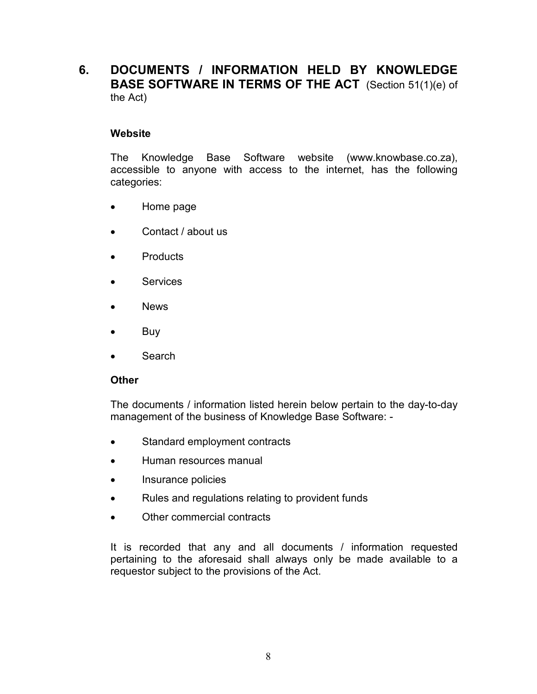#### 6. DOCUMENTS / INFORMATION HELD BY KNOWLEDGE BASE SOFTWARE IN TERMS OF THE ACT (Section 51(1)(e) of the Act)

#### **Website**

 The Knowledge Base Software website (www.knowbase.co.za), accessible to anyone with access to the internet, has the following categories:

- Home page
- Contact / about us
- Products
- Services
- News
- Buy
- **Search**

#### **Other**

 The documents / information listed herein below pertain to the day-to-day management of the business of Knowledge Base Software: -

- Standard employment contracts
- Human resources manual
- Insurance policies
- Rules and regulations relating to provident funds
- Other commercial contracts

It is recorded that any and all documents / information requested pertaining to the aforesaid shall always only be made available to a requestor subject to the provisions of the Act.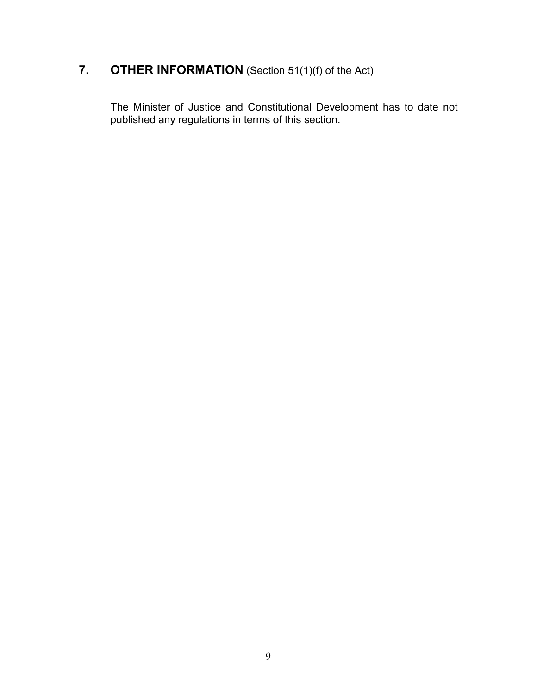## 7. **OTHER INFORMATION** (Section 51(1)(f) of the Act)

 The Minister of Justice and Constitutional Development has to date not published any regulations in terms of this section.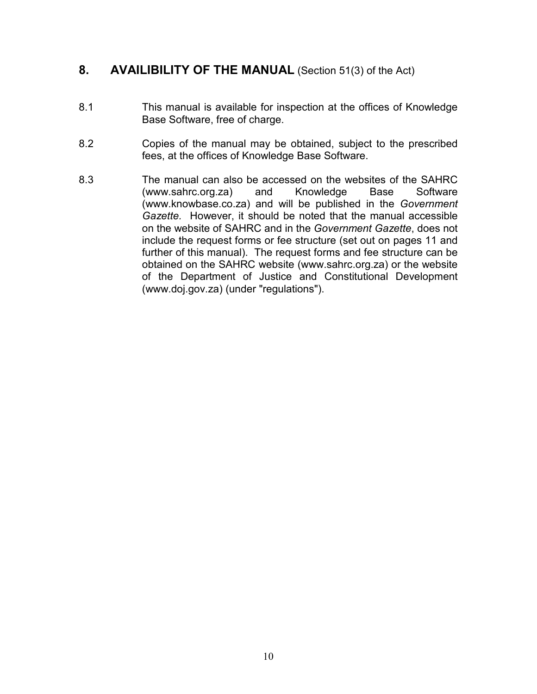#### 8. AVAILIBILITY OF THE MANUAL (Section 51(3) of the Act)

- 8.1 This manual is available for inspection at the offices of Knowledge Base Software, free of charge.
- 8.2 Copies of the manual may be obtained, subject to the prescribed fees, at the offices of Knowledge Base Software.
- 8.3 The manual can also be accessed on the websites of the SAHRC (www.sahrc.org.za) and Knowledge Base Software (www.knowbase.co.za) and will be published in the Government Gazette. However, it should be noted that the manual accessible on the website of SAHRC and in the Government Gazette, does not include the request forms or fee structure (set out on pages 11 and further of this manual). The request forms and fee structure can be obtained on the SAHRC website (www.sahrc.org.za) or the website of the Department of Justice and Constitutional Development (www.doj.gov.za) (under "regulations").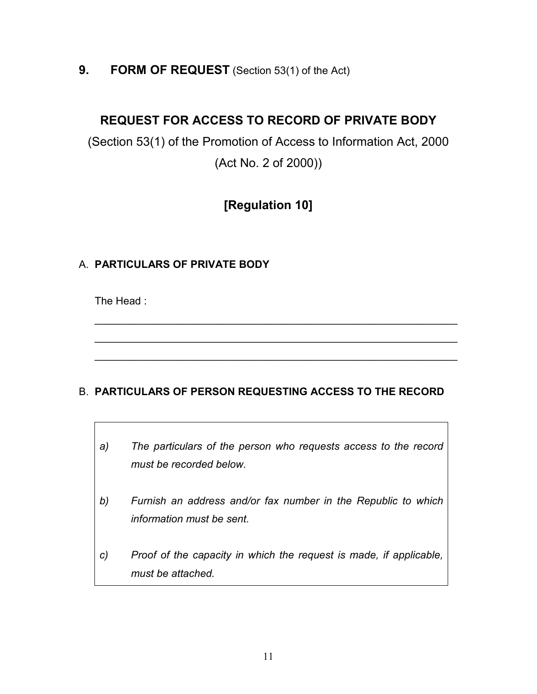#### 9. FORM OF REQUEST (Section 53(1) of the Act)

### REQUEST FOR ACCESS TO RECORD OF PRIVATE BODY

(Section 53(1) of the Promotion of Access to Information Act, 2000 (Act No. 2 of 2000))

## [Regulation 10]

#### A. PARTICULARS OF PRIVATE BODY

The Head :

#### B. PARTICULARS OF PERSON REQUESTING ACCESS TO THE RECORD

\_\_\_\_\_\_\_\_\_\_\_\_\_\_\_\_\_\_\_\_\_\_\_\_\_\_\_\_\_\_\_\_\_\_\_\_\_\_\_\_\_\_\_\_\_\_\_\_\_\_\_\_\_\_\_\_\_\_\_\_\_\_

\_\_\_\_\_\_\_\_\_\_\_\_\_\_\_\_\_\_\_\_\_\_\_\_\_\_\_\_\_\_\_\_\_\_\_\_\_\_\_\_\_\_\_\_\_\_\_\_\_\_\_\_\_\_\_\_\_\_\_\_\_\_

\_\_\_\_\_\_\_\_\_\_\_\_\_\_\_\_\_\_\_\_\_\_\_\_\_\_\_\_\_\_\_\_\_\_\_\_\_\_\_\_\_\_\_\_\_\_\_\_\_\_\_\_\_\_\_\_\_\_\_\_\_\_

- a) The particulars of the person who requests access to the record must be recorded below.
- b) Furnish an address and/or fax number in the Republic to which information must be sent.
- c) Proof of the capacity in which the request is made, if applicable, must be attached.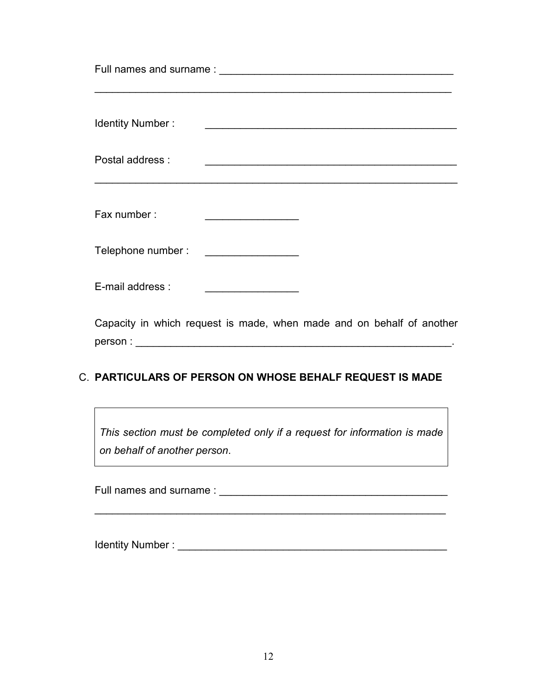| <b>Identity Number:</b>                                               |                                                                                                                         |  |
|-----------------------------------------------------------------------|-------------------------------------------------------------------------------------------------------------------------|--|
| Postal address:                                                       |                                                                                                                         |  |
| Fax number:                                                           |                                                                                                                         |  |
| Telephone number:                                                     | <u> 1989 - Johann Stoff, deutscher Stoffen und der Stoffen und der Stoffen und der Stoffen und der Stoffen und der </u> |  |
| E-mail address :                                                      |                                                                                                                         |  |
| Capacity in which request is made, when made and on behalf of another |                                                                                                                         |  |

person : \_\_\_\_\_\_\_\_\_\_\_\_\_\_\_\_\_\_\_\_\_\_\_\_\_\_\_\_\_\_\_\_\_\_\_\_\_\_\_\_\_\_\_\_\_\_\_\_\_\_\_\_\_\_.

#### C. PARTICULARS OF PERSON ON WHOSE BEHALF REQUEST IS MADE

This section must be completed only if a request for information is made on behalf of another person.

 $\mathcal{L}=\underbrace{\mathcal{L}=\mathcal{L}=\mathcal{L}=\mathcal{L}=\mathcal{L}=\mathcal{L}=\mathcal{L}=\mathcal{L}=\mathcal{L}=\mathcal{L}=\mathcal{L}=\mathcal{L}=\mathcal{L}=\mathcal{L}=\mathcal{L}=\mathcal{L}=\mathcal{L}=\mathcal{L}=\mathcal{L}=\mathcal{L}=\mathcal{L}=\mathcal{L}=\mathcal{L}=\mathcal{L}=\mathcal{L}=\mathcal{L}=\mathcal{L}=\mathcal{L}=\mathcal{L}=\mathcal{L}=\mathcal{L}=\mathcal{L}=\mathcal{L}=\mathcal{L}=\mathcal{L}=\$ 

Full names and surname : \_\_\_\_\_\_\_\_\_\_\_\_\_\_\_\_\_\_\_\_\_\_\_\_\_\_\_\_\_\_\_\_\_\_\_\_\_\_\_

Identity Number : \_\_\_\_\_\_\_\_\_\_\_\_\_\_\_\_\_\_\_\_\_\_\_\_\_\_\_\_\_\_\_\_\_\_\_\_\_\_\_\_\_\_\_\_\_\_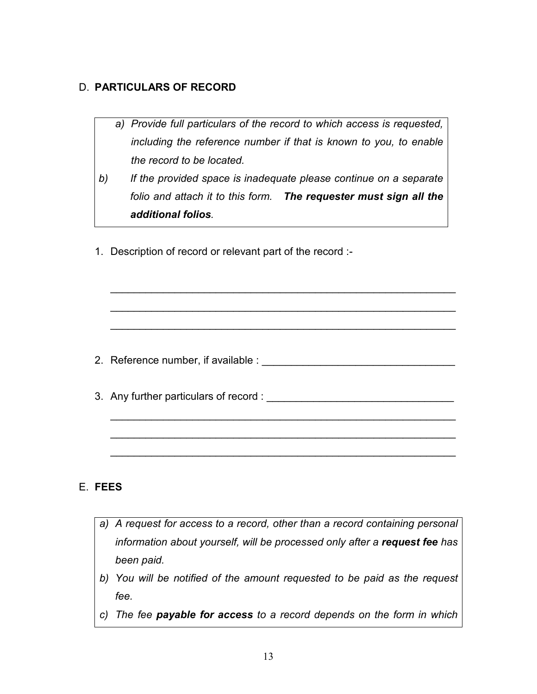#### D. PARTICULARS OF RECORD

- a) Provide full particulars of the record to which access is requested, including the reference number if that is known to you, to enable the record to be located.
- b) If the provided space is inadequate please continue on a separate folio and attach it to this form. The requester must sign all the additional folios.
- 1. Description of record or relevant part of the record :-

2. Reference number, if available : \_\_\_\_\_\_\_\_\_\_\_\_\_\_\_\_\_\_\_\_\_\_\_\_\_\_\_\_\_\_\_\_\_

 $\_$  , and the set of the set of the set of the set of the set of the set of the set of the set of the set of the set of the set of the set of the set of the set of the set of the set of the set of the set of the set of th

\_\_\_\_\_\_\_\_\_\_\_\_\_\_\_\_\_\_\_\_\_\_\_\_\_\_\_\_\_\_\_\_\_\_\_\_\_\_\_\_\_\_\_\_\_\_\_\_\_\_\_\_\_\_\_\_\_\_\_

\_\_\_\_\_\_\_\_\_\_\_\_\_\_\_\_\_\_\_\_\_\_\_\_\_\_\_\_\_\_\_\_\_\_\_\_\_\_\_\_\_\_\_\_\_\_\_\_\_\_\_\_\_\_\_\_\_\_\_

\_\_\_\_\_\_\_\_\_\_\_\_\_\_\_\_\_\_\_\_\_\_\_\_\_\_\_\_\_\_\_\_\_\_\_\_\_\_\_\_\_\_\_\_\_\_\_\_\_\_\_\_\_\_\_\_\_\_\_

\_\_\_\_\_\_\_\_\_\_\_\_\_\_\_\_\_\_\_\_\_\_\_\_\_\_\_\_\_\_\_\_\_\_\_\_\_\_\_\_\_\_\_\_\_\_\_\_\_\_\_\_\_\_\_\_\_\_\_

\_\_\_\_\_\_\_\_\_\_\_\_\_\_\_\_\_\_\_\_\_\_\_\_\_\_\_\_\_\_\_\_\_\_\_\_\_\_\_\_\_\_\_\_\_\_\_\_\_\_\_\_\_\_\_\_\_\_\_

3. Any further particulars of record : \_\_\_\_\_\_\_\_\_\_\_\_\_\_\_\_\_\_\_\_\_\_\_\_\_\_\_\_\_\_\_\_

#### E. FEES

- a) A request for access to a record, other than a record containing personal information about yourself, will be processed only after a request fee has been paid.
- b) You will be notified of the amount requested to be paid as the request fee.
- c) The fee payable for access to a record depends on the form in which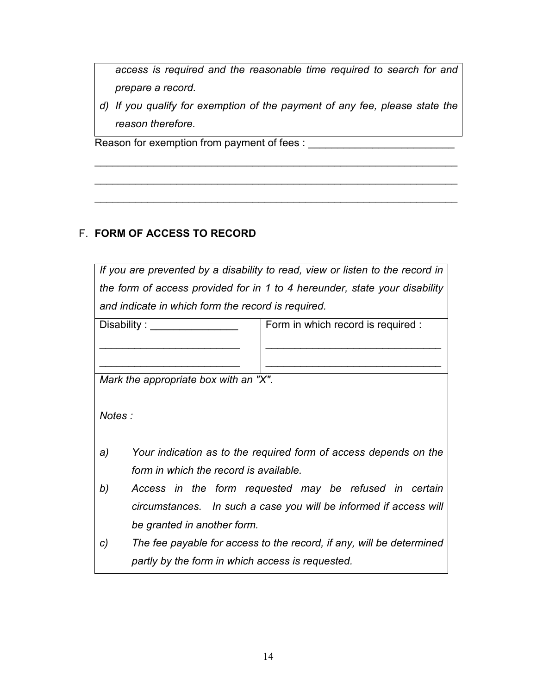access is required and the reasonable time required to search for and prepare a record.

d) If you qualify for exemption of the payment of any fee, please state the reason therefore. 

\_\_\_\_\_\_\_\_\_\_\_\_\_\_\_\_\_\_\_\_\_\_\_\_\_\_\_\_\_\_\_\_\_\_\_\_\_\_\_\_\_\_\_\_\_\_\_\_\_\_\_\_\_\_\_\_\_\_\_\_\_\_

 $\_$ 

\_\_\_\_\_\_\_\_\_\_\_\_\_\_\_\_\_\_\_\_\_\_\_\_\_\_\_\_\_\_\_\_\_\_\_\_\_\_\_\_\_\_\_\_\_\_\_\_\_\_\_\_\_\_\_\_\_\_\_\_\_\_

Reason for exemption from payment of fees : \_\_\_\_\_\_\_\_\_\_\_\_\_\_\_\_\_\_\_\_\_\_\_\_\_

#### F. FORM OF ACCESS TO RECORD

| If you are prevented by a disability to read, view or listen to the record in |                                                                      |  |  |  |
|-------------------------------------------------------------------------------|----------------------------------------------------------------------|--|--|--|
| the form of access provided for in 1 to 4 hereunder, state your disability    |                                                                      |  |  |  |
|                                                                               | and indicate in which form the record is required.                   |  |  |  |
| Disability:                                                                   | Form in which record is required :                                   |  |  |  |
|                                                                               |                                                                      |  |  |  |
|                                                                               |                                                                      |  |  |  |
|                                                                               | Mark the appropriate box with an "X".                                |  |  |  |
|                                                                               |                                                                      |  |  |  |
| Notes:                                                                        |                                                                      |  |  |  |
|                                                                               |                                                                      |  |  |  |
| a)                                                                            | Your indication as to the required form of access depends on the     |  |  |  |
|                                                                               | form in which the record is available.                               |  |  |  |
| b)                                                                            | Access in the form requested may be refused in certain               |  |  |  |
|                                                                               | circumstances. In such a case you will be informed if access will    |  |  |  |
|                                                                               | be granted in another form.                                          |  |  |  |
| C)                                                                            | The fee payable for access to the record, if any, will be determined |  |  |  |
|                                                                               |                                                                      |  |  |  |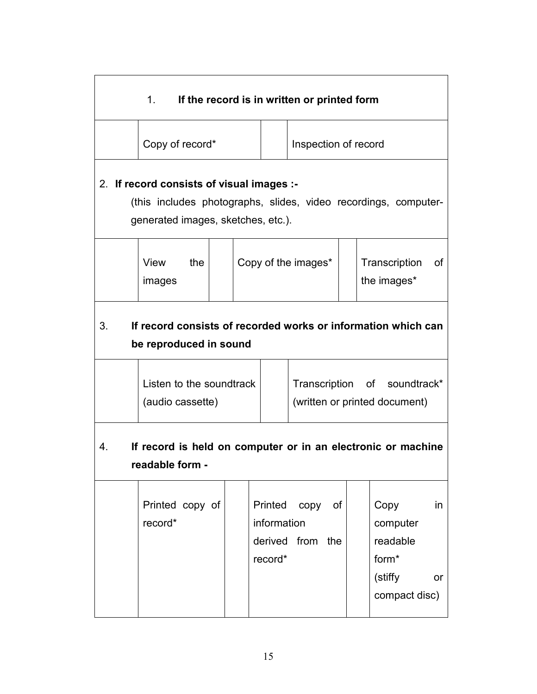| 1.<br>If the record is in written or printed form                                             |                                                                                 |  |                                   |                             |  |                                                                               |
|-----------------------------------------------------------------------------------------------|---------------------------------------------------------------------------------|--|-----------------------------------|-----------------------------|--|-------------------------------------------------------------------------------|
|                                                                                               | Copy of record*                                                                 |  |                                   | Inspection of record        |  |                                                                               |
|                                                                                               | 2. If record consists of visual images :-<br>generated images, sketches, etc.). |  |                                   |                             |  | (this includes photographs, slides, video recordings, computer-               |
|                                                                                               | the<br>View<br>images                                                           |  |                                   | Copy of the images*         |  | Transcription<br>0f<br>the images*                                            |
| 3.<br>If record consists of recorded works or information which can<br>be reproduced in sound |                                                                                 |  |                                   |                             |  |                                                                               |
|                                                                                               | Listen to the soundtrack<br>(audio cassette)                                    |  |                                   |                             |  | Transcription of soundtrack*<br>(written or printed document)                 |
| If record is held on computer or in an electronic or machine<br>4.<br>readable form -         |                                                                                 |  |                                   |                             |  |                                                                               |
|                                                                                               | Printed copy of<br>record*                                                      |  | Printed<br>information<br>record* | copy of<br>derived from the |  | in<br>Copy<br>computer<br>readable<br>form*<br>(stiffy<br>or<br>compact disc) |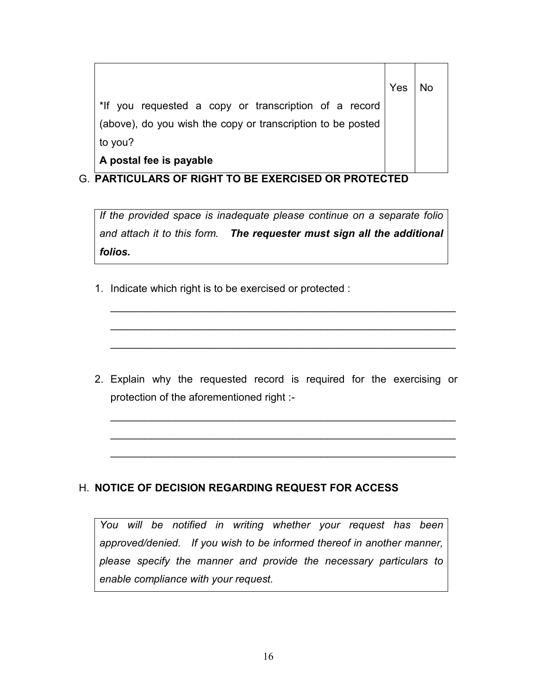|                                                             | Yes |  |
|-------------------------------------------------------------|-----|--|
| *If you requested a copy or transcription of a record       |     |  |
| (above), do you wish the copy or transcription to be posted |     |  |
| to you?                                                     |     |  |
| A postal fee is payable                                     |     |  |

#### G. PARTICULARS OF RIGHT TO BE EXERCISED OR PROTECTED

If the provided space is inadequate please continue on a separate folio and attach it to this form. The requester must sign all the additional folios.

1. Indicate which right is to be exercised or protected :

2. Explain why the requested record is required for the exercising or protection of the aforementioned right :-

 $\_$  , and the set of the set of the set of the set of the set of the set of the set of the set of the set of the set of the set of the set of the set of the set of the set of the set of the set of the set of the set of th

\_\_\_\_\_\_\_\_\_\_\_\_\_\_\_\_\_\_\_\_\_\_\_\_\_\_\_\_\_\_\_\_\_\_\_\_\_\_\_\_\_\_\_\_\_\_\_\_\_\_\_\_\_\_\_\_\_\_\_

\_\_\_\_\_\_\_\_\_\_\_\_\_\_\_\_\_\_\_\_\_\_\_\_\_\_\_\_\_\_\_\_\_\_\_\_\_\_\_\_\_\_\_\_\_\_\_\_\_\_\_\_\_\_\_\_\_\_\_

 $\_$  , and the set of the set of the set of the set of the set of the set of the set of the set of the set of the set of the set of the set of the set of the set of the set of the set of the set of the set of the set of th

 $\_$  , and the set of the set of the set of the set of the set of the set of the set of the set of the set of the set of the set of the set of the set of the set of the set of the set of the set of the set of the set of th

\_\_\_\_\_\_\_\_\_\_\_\_\_\_\_\_\_\_\_\_\_\_\_\_\_\_\_\_\_\_\_\_\_\_\_\_\_\_\_\_\_\_\_\_\_\_\_\_\_\_\_\_\_\_\_\_\_\_\_

#### H. NOTICE OF DECISION REGARDING REQUEST FOR ACCESS

You will be notified in writing whether your request has been approved/denied. If you wish to be informed thereof in another manner, please specify the manner and provide the necessary particulars to enable compliance with your request.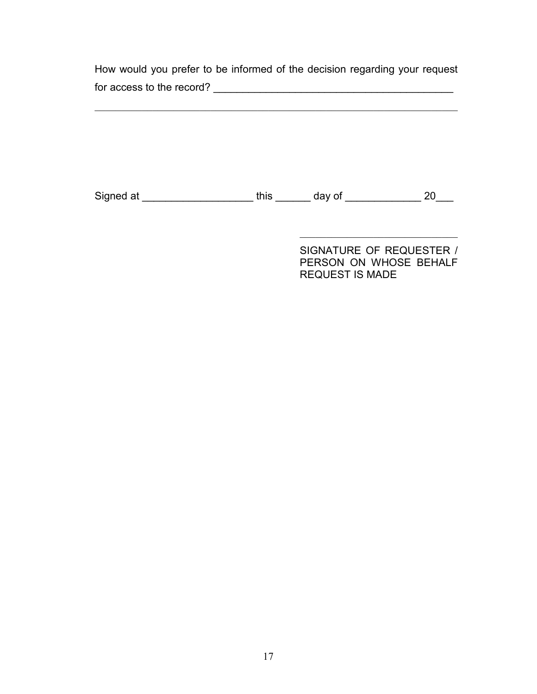How would you prefer to be informed of the decision regarding your request for access to the record? \_\_\_\_\_\_\_\_\_\_\_\_\_\_\_\_\_\_\_\_\_\_\_\_\_\_\_\_\_\_\_\_\_\_\_\_\_\_\_\_\_

 $\mathcal{L}=\mathcal{L}=\mathcal{L}=\mathcal{L}=\mathcal{L}=\mathcal{L}=\mathcal{L}=\mathcal{L}=\mathcal{L}=\mathcal{L}=\mathcal{L}=\mathcal{L}=\mathcal{L}=\mathcal{L}=\mathcal{L}=\mathcal{L}=\mathcal{L}=\mathcal{L}=\mathcal{L}=\mathcal{L}=\mathcal{L}=\mathcal{L}=\mathcal{L}=\mathcal{L}=\mathcal{L}=\mathcal{L}=\mathcal{L}=\mathcal{L}=\mathcal{L}=\mathcal{L}=\mathcal{L}=\mathcal{L}=\mathcal{L}=\mathcal{L}=\mathcal{L}=\mathcal{L}=\mathcal{$ 

Signed at \_\_\_\_\_\_\_\_\_\_\_\_\_\_\_\_\_\_\_\_\_\_\_\_\_ this \_\_\_\_\_\_\_\_ day of \_\_\_\_\_\_\_\_\_\_\_\_\_\_\_\_\_ 20\_\_\_

 $\frac{1}{\sqrt{2}}$  ,  $\frac{1}{\sqrt{2}}$  ,  $\frac{1}{\sqrt{2}}$  ,  $\frac{1}{\sqrt{2}}$  ,  $\frac{1}{\sqrt{2}}$  ,  $\frac{1}{\sqrt{2}}$  ,  $\frac{1}{\sqrt{2}}$  ,  $\frac{1}{\sqrt{2}}$  ,  $\frac{1}{\sqrt{2}}$  ,  $\frac{1}{\sqrt{2}}$  ,  $\frac{1}{\sqrt{2}}$  ,  $\frac{1}{\sqrt{2}}$  ,  $\frac{1}{\sqrt{2}}$  ,  $\frac{1}{\sqrt{2}}$  ,  $\frac{1}{\sqrt{2}}$ 

SIGNATURE OF REQUESTER / PERSON ON WHOSE BEHALF REQUEST IS MADE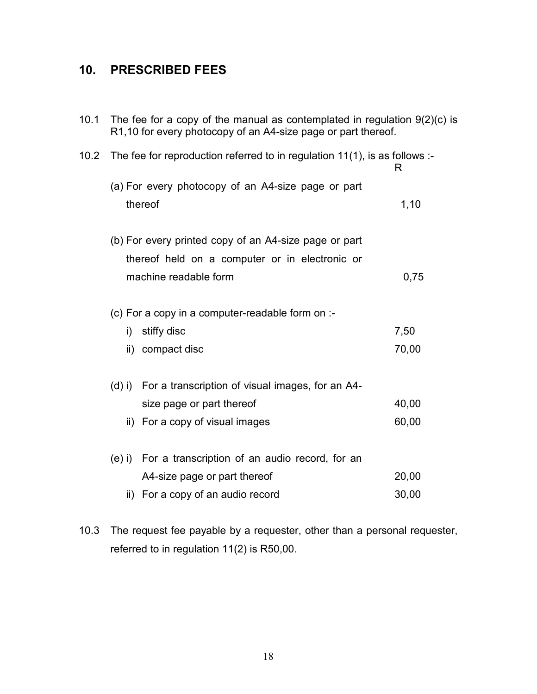### 10. PRESCRIBED FEES

| 10.1 | The fee for a copy of the manual as contemplated in regulation $9(2)(c)$ is<br>R1,10 for every photocopy of an A4-size page or part thereof. |                                                                                 |       |  |  |  |
|------|----------------------------------------------------------------------------------------------------------------------------------------------|---------------------------------------------------------------------------------|-------|--|--|--|
| 10.2 |                                                                                                                                              | The fee for reproduction referred to in regulation 11(1), is as follows :-<br>R |       |  |  |  |
|      |                                                                                                                                              | (a) For every photocopy of an A4-size page or part                              |       |  |  |  |
|      |                                                                                                                                              | thereof                                                                         | 1,10  |  |  |  |
|      |                                                                                                                                              | (b) For every printed copy of an A4-size page or part                           |       |  |  |  |
|      |                                                                                                                                              | thereof held on a computer or in electronic or                                  |       |  |  |  |
|      |                                                                                                                                              | machine readable form                                                           | 0,75  |  |  |  |
|      |                                                                                                                                              | (c) For a copy in a computer-readable form on :-                                |       |  |  |  |
|      | $\mathsf{i}$                                                                                                                                 | stiffy disc                                                                     | 7,50  |  |  |  |
|      |                                                                                                                                              | ii) compact disc                                                                | 70,00 |  |  |  |
|      | $(d)$ i)                                                                                                                                     | For a transcription of visual images, for an A4-                                |       |  |  |  |
|      |                                                                                                                                              | size page or part thereof                                                       | 40,00 |  |  |  |
|      |                                                                                                                                              | ii) For a copy of visual images                                                 | 60,00 |  |  |  |
|      | $(e)$ i)                                                                                                                                     | For a transcription of an audio record, for an                                  |       |  |  |  |
|      |                                                                                                                                              | A4-size page or part thereof                                                    | 20,00 |  |  |  |
|      | ii)                                                                                                                                          | For a copy of an audio record                                                   | 30,00 |  |  |  |
|      |                                                                                                                                              |                                                                                 |       |  |  |  |

10.3 The request fee payable by a requester, other than a personal requester, referred to in regulation 11(2) is R50,00.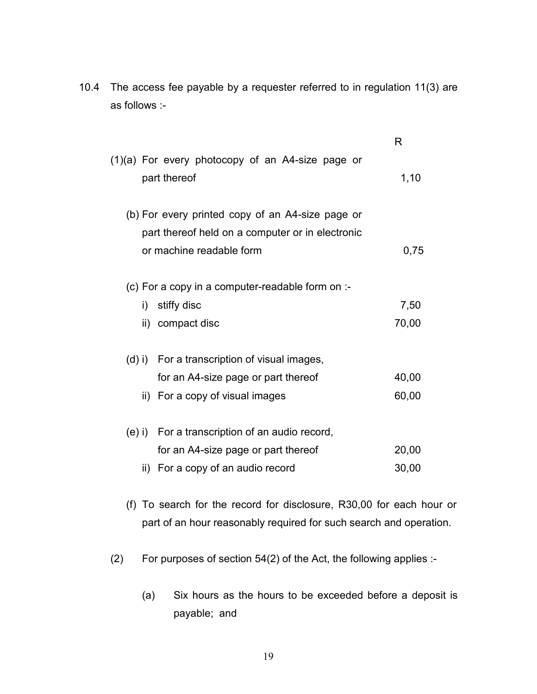10.4 The access fee payable by a requester referred to in regulation 11(3) are as follows :-

|        |                                                                    | R     |
|--------|--------------------------------------------------------------------|-------|
|        | $(1)(a)$ For every photocopy of an A4-size page or<br>part thereof | 1,10  |
|        | (b) For every printed copy of an A4-size page or                   |       |
|        | part thereof held on a computer or in electronic                   |       |
|        | or machine readable form                                           | 0,75  |
|        | (c) For a copy in a computer-readable form on :-                   |       |
| i)     | stiffy disc                                                        | 7,50  |
|        | ii) compact disc                                                   | 70,00 |
|        | (d) i) For a transcription of visual images,                       |       |
|        | for an A4-size page or part thereof                                | 40,00 |
|        | ii) For a copy of visual images                                    | 60,00 |
| (e) i) | For a transcription of an audio record,                            |       |
|        | for an A4-size page or part thereof                                | 20,00 |
|        | ii) For a copy of an audio record                                  | 30,00 |
|        |                                                                    |       |

- (f) To search for the record for disclosure, R30,00 for each hour or part of an hour reasonably required for such search and operation.
- (2) For purposes of section 54(2) of the Act, the following applies :-
	- (a) Six hours as the hours to be exceeded before a deposit is payable; and